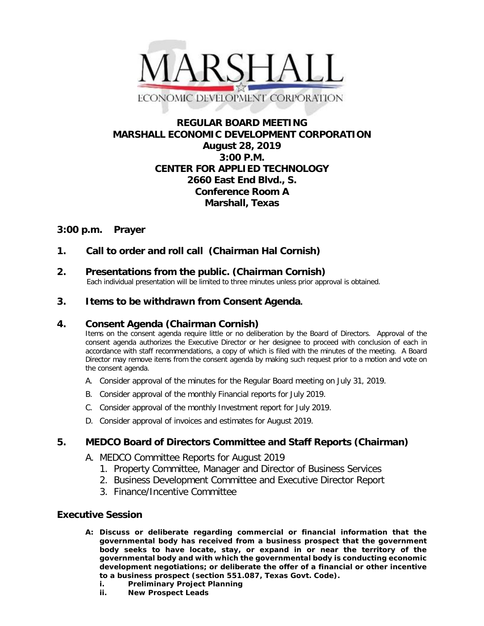

# **REGULAR BOARD MEETING MARSHALL ECONOMIC DEVELOPMENT CORPORATION August 28, 2019 3:00 P.M. CENTER FOR APPLIED TECHNOLOGY 2660 East End Blvd., S. Conference Room A Marshall, Texas**

# **3:00 p.m. Prayer**

# **1. Call to order and roll call (Chairman Hal Cornish)**

**2. Presentations from the public. (Chairman Cornish)**<br>Each individual presentation will be limited to three minutes unless prior approval is obtained.

## **3. Items to be withdrawn from Consent Agenda.**

### **4. Consent Agenda (Chairman Cornish)**

Items on the consent agenda require little or no deliberation by the Board of Directors. Approval of the consent agenda authorizes the Executive Director or her designee to proceed with conclusion of each in accordance with staff recommendations, a copy of which is filed with the minutes of the meeting. A Board Director may remove items from the consent agenda by making such request prior to a motion and vote on the consent agenda.

- A. Consider approval of the minutes for the Regular Board meeting on July 31, 2019.
- B. Consider approval of the monthly Financial reports for July 2019.
- C. Consider approval of the monthly Investment report for July 2019.
- D. Consider approval of invoices and estimates for August 2019.

## **5. MEDCO Board of Directors Committee and Staff Reports (Chairman)**

- A. MEDCO Committee Reports for August 2019
	- 1. Property Committee, Manager and Director of Business Services
	- 2. Business Development Committee and Executive Director Report
	- 3. Finance/Incentive Committee

## **Executive Session**

- **A: Discuss or deliberate regarding commercial or financial information that the governmental body has received from a business prospect that the government body seeks to have locate, stay, or expand in or near the territory of the governmental body and with which the governmental body is conducting economic development negotiations; or deliberate the offer of a financial or other incentive to a business prospect (section 551.087, Texas Govt. Code).**
	- **i. Preliminary Project Planning**
	- **ii. New Prospect Leads**